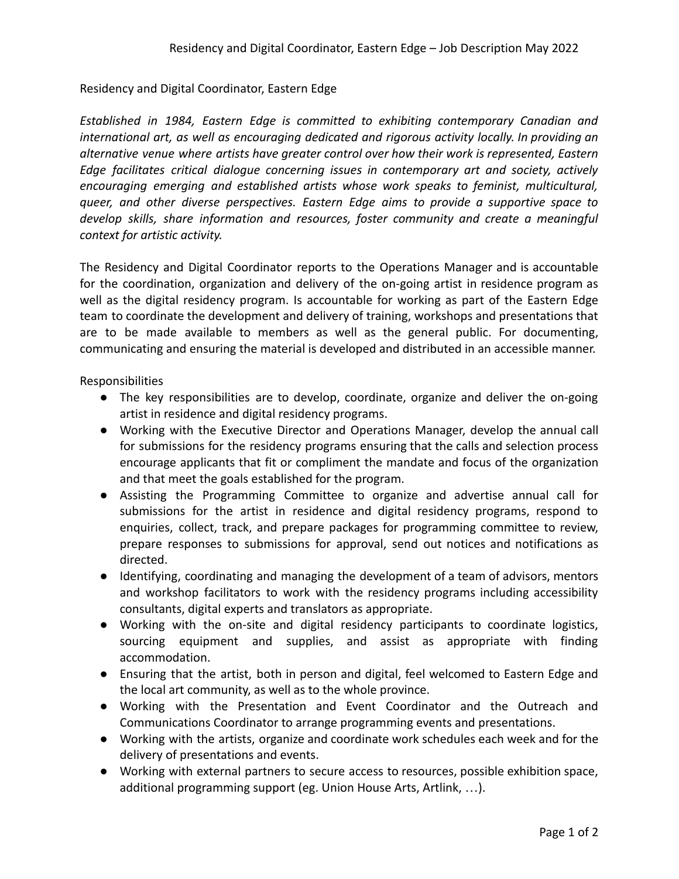## Residency and Digital Coordinator, Eastern Edge

*Established in 1984, Eastern Edge is committed to exhibiting contemporary Canadian and international art, as well as encouraging dedicated and rigorous activity locally. In providing an alternative venue where artists have greater control over how their work is represented, Eastern Edge facilitates critical dialogue concerning issues in contemporary art and society, actively encouraging emerging and established artists whose work speaks to feminist, multicultural, queer, and other diverse perspectives. Eastern Edge aims to provide a supportive space to develop skills, share information and resources, foster community and create a meaningful context for artistic activity.*

The Residency and Digital Coordinator reports to the Operations Manager and is accountable for the coordination, organization and delivery of the on-going artist in residence program as well as the digital residency program. Is accountable for working as part of the Eastern Edge team to coordinate the development and delivery of training, workshops and presentations that are to be made available to members as well as the general public. For documenting, communicating and ensuring the material is developed and distributed in an accessible manner.

Responsibilities

- The key responsibilities are to develop, coordinate, organize and deliver the on-going artist in residence and digital residency programs.
- Working with the Executive Director and Operations Manager, develop the annual call for submissions for the residency programs ensuring that the calls and selection process encourage applicants that fit or compliment the mandate and focus of the organization and that meet the goals established for the program.
- Assisting the Programming Committee to organize and advertise annual call for submissions for the artist in residence and digital residency programs, respond to enquiries, collect, track, and prepare packages for programming committee to review, prepare responses to submissions for approval, send out notices and notifications as directed.
- Identifying, coordinating and managing the development of a team of advisors, mentors and workshop facilitators to work with the residency programs including accessibility consultants, digital experts and translators as appropriate.
- Working with the on-site and digital residency participants to coordinate logistics, sourcing equipment and supplies, and assist as appropriate with finding accommodation.
- Ensuring that the artist, both in person and digital, feel welcomed to Eastern Edge and the local art community, as well as to the whole province.
- Working with the Presentation and Event Coordinator and the Outreach and Communications Coordinator to arrange programming events and presentations.
- Working with the artists, organize and coordinate work schedules each week and for the delivery of presentations and events.
- Working with external partners to secure access to resources, possible exhibition space, additional programming support (eg. Union House Arts, Artlink, …).